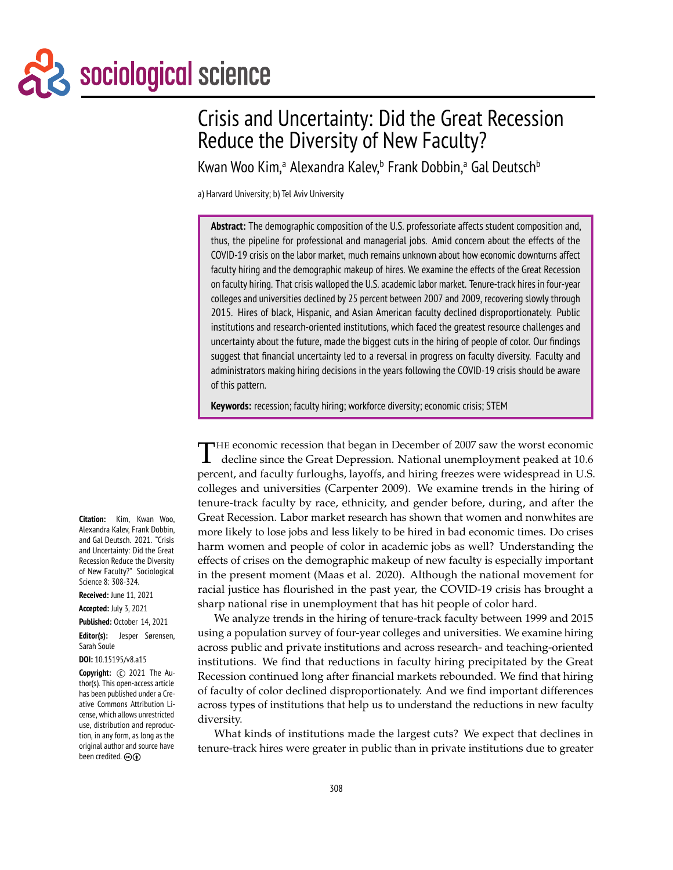# Sociological science

# Crisis and Uncertainty: Did the Great Recession Reduce the Diversity of New Faculty?

Kwan Woo Kim,ª Alexandra Kalev,<sup>b</sup> Frank Dobbin,ª Gal Deutsch<sup>b</sup>

a) Harvard University; b) Tel Aviv University

**Abstract:** The demographic composition of the U.S. professoriate affects student composition and, thus, the pipeline for professional and managerial jobs. Amid concern about the effects of the COVID-19 crisis on the labor market, much remains unknown about how economic downturns affect faculty hiring and the demographic makeup of hires. We examine the effects of the Great Recession on faculty hiring. That crisis walloped the U.S. academic labor market. Tenure-track hires in four-year colleges and universities declined by 25 percent between 2007 and 2009, recovering slowly through 2015. Hires of black, Hispanic, and Asian American faculty declined disproportionately. Public institutions and research-oriented institutions, which faced the greatest resource challenges and uncertainty about the future, made the biggest cuts in the hiring of people of color. Our findings suggest that financial uncertainty led to a reversal in progress on faculty diversity. Faculty and administrators making hiring decisions in the years following the COVID-19 crisis should be aware of this pattern.

**Keywords:** recession; faculty hiring; workforce diversity; economic crisis; STEM

T **HE economic recession that began in December of 2007 saw the worst economic** decline since the Great Depression. National unemployment peaked at 10.6 percent, and faculty furloughs, layoffs, and hiring freezes were widespread in U.S. colleges and universities (Carpenter 2009). We examine trends in the hiring of tenure-track faculty by race, ethnicity, and gender before, during, and after the Great Recession. Labor market research has shown that women and nonwhites are more likely to lose jobs and less likely to be hired in bad economic times. Do crises harm women and people of color in academic jobs as well? Understanding the effects of crises on the demographic makeup of new faculty is especially important in the present moment (Maas et al. 2020). Although the national movement for racial justice has flourished in the past year, the COVID-19 crisis has brought a sharp national rise in unemployment that has hit people of color hard.

We analyze trends in the hiring of tenure-track faculty between 1999 and 2015 using a population survey of four-year colleges and universities. We examine hiring across public and private institutions and across research- and teaching-oriented institutions. We find that reductions in faculty hiring precipitated by the Great Recession continued long after financial markets rebounded. We find that hiring of faculty of color declined disproportionately. And we find important differences across types of institutions that help us to understand the reductions in new faculty diversity.

What kinds of institutions made the largest cuts? We expect that declines in tenure-track hires were greater in public than in private institutions due to greater

**Citation:** Kim, Kwan Woo, Alexandra Kalev, Frank Dobbin, and Gal Deutsch. 2021. "Crisis and Uncertainty: Did the Great Recession Reduce the Diversity of New Faculty?" Sociological Science 8: 308-324.

**Received:** June 11, 2021

**Accepted:** July 3, 2021

#### **Published:** October 14, 2021

**Editor(s):** Jesper Sørensen, Sarah Soule

**DOI:** 10.15195/v8.a15

**Copyright:** C 2021 The Author(s). This open-access article has been published under a Creative Commons Attribution License, which allows unrestricted use, distribution and reproduction, in any form, as long as the original author and source have been credited.  $\odotled$   $\odot$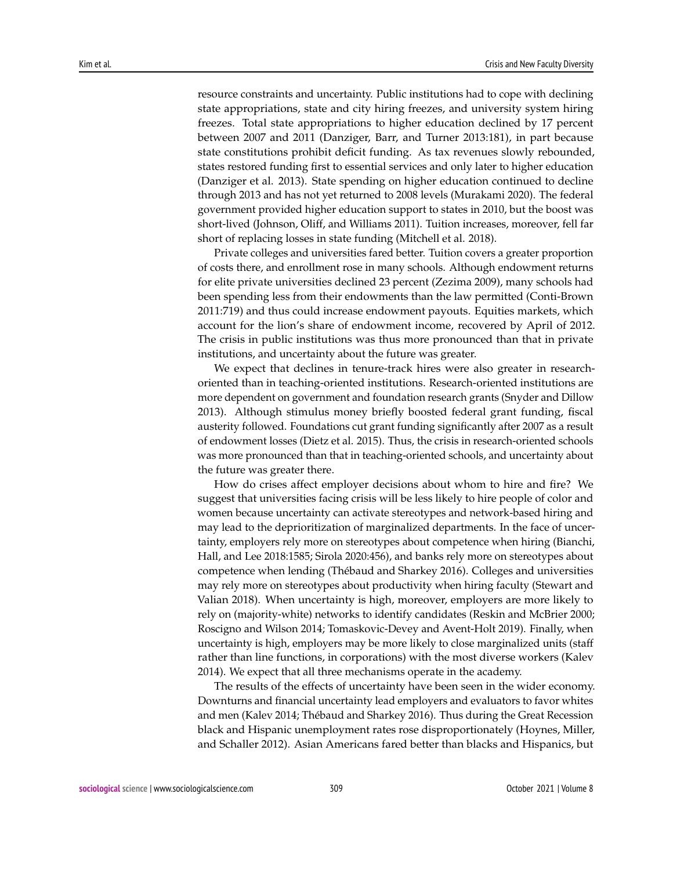resource constraints and uncertainty. Public institutions had to cope with declining state appropriations, state and city hiring freezes, and university system hiring freezes. Total state appropriations to higher education declined by 17 percent between 2007 and 2011 (Danziger, Barr, and Turner 2013:181), in part because state constitutions prohibit deficit funding. As tax revenues slowly rebounded, states restored funding first to essential services and only later to higher education (Danziger et al. 2013). State spending on higher education continued to decline through 2013 and has not yet returned to 2008 levels (Murakami 2020). The federal government provided higher education support to states in 2010, but the boost was short-lived (Johnson, Oliff, and Williams 2011). Tuition increases, moreover, fell far short of replacing losses in state funding (Mitchell et al. 2018).

Private colleges and universities fared better. Tuition covers a greater proportion of costs there, and enrollment rose in many schools. Although endowment returns for elite private universities declined 23 percent (Zezima 2009), many schools had been spending less from their endowments than the law permitted (Conti-Brown 2011:719) and thus could increase endowment payouts. Equities markets, which account for the lion's share of endowment income, recovered by April of 2012. The crisis in public institutions was thus more pronounced than that in private institutions, and uncertainty about the future was greater.

We expect that declines in tenure-track hires were also greater in researchoriented than in teaching-oriented institutions. Research-oriented institutions are more dependent on government and foundation research grants (Snyder and Dillow 2013). Although stimulus money briefly boosted federal grant funding, fiscal austerity followed. Foundations cut grant funding significantly after 2007 as a result of endowment losses (Dietz et al. 2015). Thus, the crisis in research-oriented schools was more pronounced than that in teaching-oriented schools, and uncertainty about the future was greater there.

How do crises affect employer decisions about whom to hire and fire? We suggest that universities facing crisis will be less likely to hire people of color and women because uncertainty can activate stereotypes and network-based hiring and may lead to the deprioritization of marginalized departments. In the face of uncertainty, employers rely more on stereotypes about competence when hiring (Bianchi, Hall, and Lee 2018:1585; Sirola 2020:456), and banks rely more on stereotypes about competence when lending (Thébaud and Sharkey 2016). Colleges and universities may rely more on stereotypes about productivity when hiring faculty (Stewart and Valian 2018). When uncertainty is high, moreover, employers are more likely to rely on (majority-white) networks to identify candidates (Reskin and McBrier 2000; Roscigno and Wilson 2014; Tomaskovic-Devey and Avent-Holt 2019). Finally, when uncertainty is high, employers may be more likely to close marginalized units (staff rather than line functions, in corporations) with the most diverse workers (Kalev 2014). We expect that all three mechanisms operate in the academy.

The results of the effects of uncertainty have been seen in the wider economy. Downturns and financial uncertainty lead employers and evaluators to favor whites and men (Kalev 2014; Thébaud and Sharkey 2016). Thus during the Great Recession black and Hispanic unemployment rates rose disproportionately (Hoynes, Miller, and Schaller 2012). Asian Americans fared better than blacks and Hispanics, but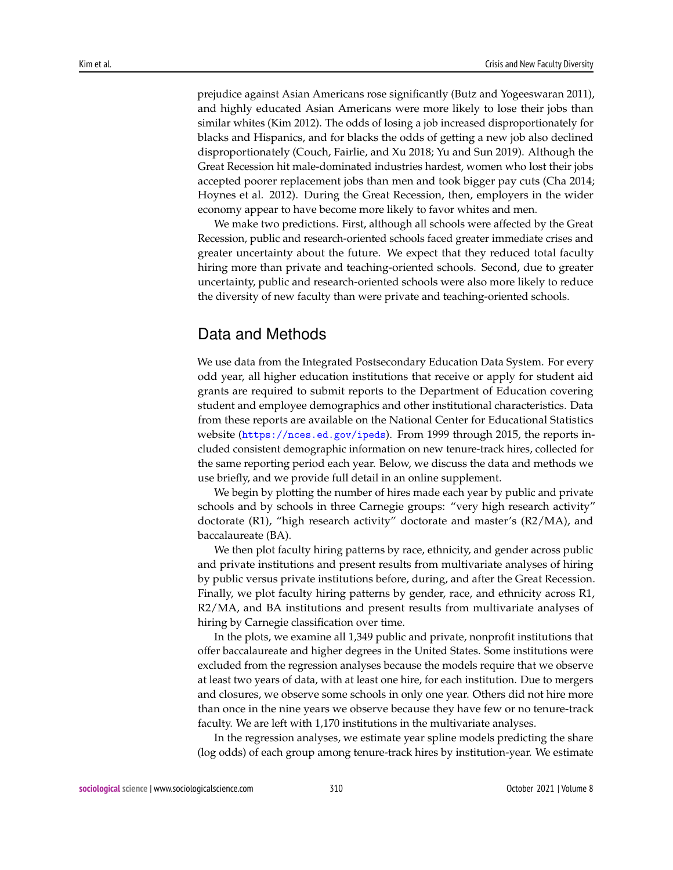prejudice against Asian Americans rose significantly (Butz and Yogeeswaran 2011), and highly educated Asian Americans were more likely to lose their jobs than similar whites (Kim 2012). The odds of losing a job increased disproportionately for blacks and Hispanics, and for blacks the odds of getting a new job also declined disproportionately (Couch, Fairlie, and Xu 2018; Yu and Sun 2019). Although the Great Recession hit male-dominated industries hardest, women who lost their jobs accepted poorer replacement jobs than men and took bigger pay cuts (Cha 2014; Hoynes et al. 2012). During the Great Recession, then, employers in the wider economy appear to have become more likely to favor whites and men.

We make two predictions. First, although all schools were affected by the Great Recession, public and research-oriented schools faced greater immediate crises and greater uncertainty about the future. We expect that they reduced total faculty hiring more than private and teaching-oriented schools. Second, due to greater uncertainty, public and research-oriented schools were also more likely to reduce the diversity of new faculty than were private and teaching-oriented schools.

# Data and Methods

We use data from the Integrated Postsecondary Education Data System. For every odd year, all higher education institutions that receive or apply for student aid grants are required to submit reports to the Department of Education covering student and employee demographics and other institutional characteristics. Data from these reports are available on the National Center for Educational Statistics website (<https://nces.ed.gov/ipeds>). From 1999 through 2015, the reports included consistent demographic information on new tenure-track hires, collected for the same reporting period each year. Below, we discuss the data and methods we use briefly, and we provide full detail in an online supplement.

We begin by plotting the number of hires made each year by public and private schools and by schools in three Carnegie groups: "very high research activity" doctorate (R1), "high research activity" doctorate and master's (R2/MA), and baccalaureate (BA).

We then plot faculty hiring patterns by race, ethnicity, and gender across public and private institutions and present results from multivariate analyses of hiring by public versus private institutions before, during, and after the Great Recession. Finally, we plot faculty hiring patterns by gender, race, and ethnicity across R1, R2/MA, and BA institutions and present results from multivariate analyses of hiring by Carnegie classification over time.

In the plots, we examine all 1,349 public and private, nonprofit institutions that offer baccalaureate and higher degrees in the United States. Some institutions were excluded from the regression analyses because the models require that we observe at least two years of data, with at least one hire, for each institution. Due to mergers and closures, we observe some schools in only one year. Others did not hire more than once in the nine years we observe because they have few or no tenure-track faculty. We are left with 1,170 institutions in the multivariate analyses.

In the regression analyses, we estimate year spline models predicting the share (log odds) of each group among tenure-track hires by institution-year. We estimate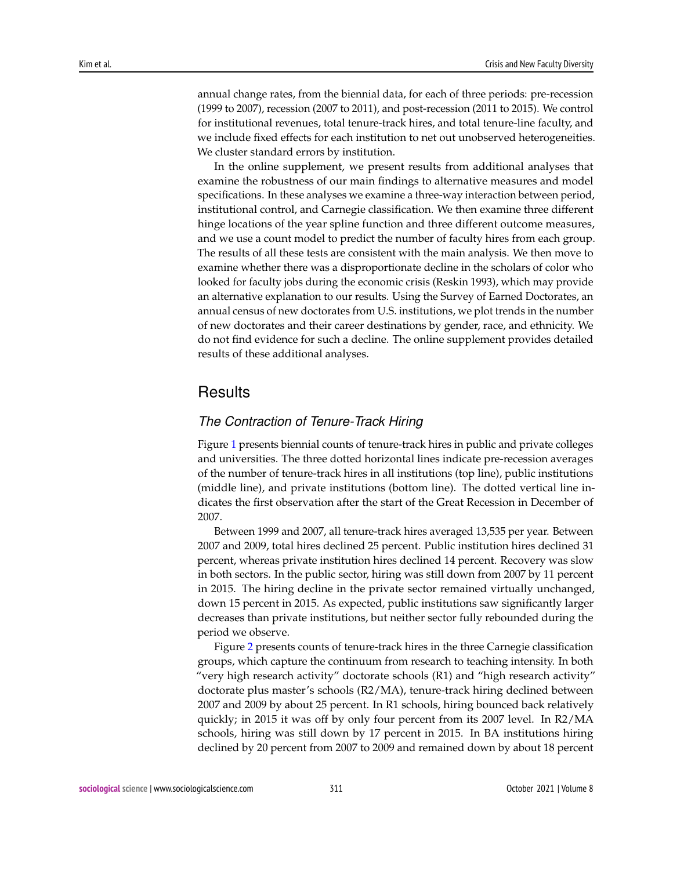annual change rates, from the biennial data, for each of three periods: pre-recession (1999 to 2007), recession (2007 to 2011), and post-recession (2011 to 2015). We control for institutional revenues, total tenure-track hires, and total tenure-line faculty, and we include fixed effects for each institution to net out unobserved heterogeneities. We cluster standard errors by institution.

In the online supplement, we present results from additional analyses that examine the robustness of our main findings to alternative measures and model specifications. In these analyses we examine a three-way interaction between period, institutional control, and Carnegie classification. We then examine three different hinge locations of the year spline function and three different outcome measures, and we use a count model to predict the number of faculty hires from each group. The results of all these tests are consistent with the main analysis. We then move to examine whether there was a disproportionate decline in the scholars of color who looked for faculty jobs during the economic crisis (Reskin 1993), which may provide an alternative explanation to our results. Using the Survey of Earned Doctorates, an annual census of new doctorates from U.S. institutions, we plot trends in the number of new doctorates and their career destinations by gender, race, and ethnicity. We do not find evidence for such a decline. The online supplement provides detailed results of these additional analyses.

# **Results**

#### *The Contraction of Tenure-Track Hiring*

Figure [1](#page-4-0) presents biennial counts of tenure-track hires in public and private colleges and universities. The three dotted horizontal lines indicate pre-recession averages of the number of tenure-track hires in all institutions (top line), public institutions (middle line), and private institutions (bottom line). The dotted vertical line indicates the first observation after the start of the Great Recession in December of 2007.

Between 1999 and 2007, all tenure-track hires averaged 13,535 per year. Between 2007 and 2009, total hires declined 25 percent. Public institution hires declined 31 percent, whereas private institution hires declined 14 percent. Recovery was slow in both sectors. In the public sector, hiring was still down from 2007 by 11 percent in 2015. The hiring decline in the private sector remained virtually unchanged, down 15 percent in 2015. As expected, public institutions saw significantly larger decreases than private institutions, but neither sector fully rebounded during the period we observe.

Figure [2](#page-5-0) presents counts of tenure-track hires in the three Carnegie classification groups, which capture the continuum from research to teaching intensity. In both "very high research activity" doctorate schools (R1) and "high research activity" doctorate plus master's schools (R2/MA), tenure-track hiring declined between 2007 and 2009 by about 25 percent. In R1 schools, hiring bounced back relatively quickly; in 2015 it was off by only four percent from its 2007 level. In R2/MA schools, hiring was still down by 17 percent in 2015. In BA institutions hiring declined by 20 percent from 2007 to 2009 and remained down by about 18 percent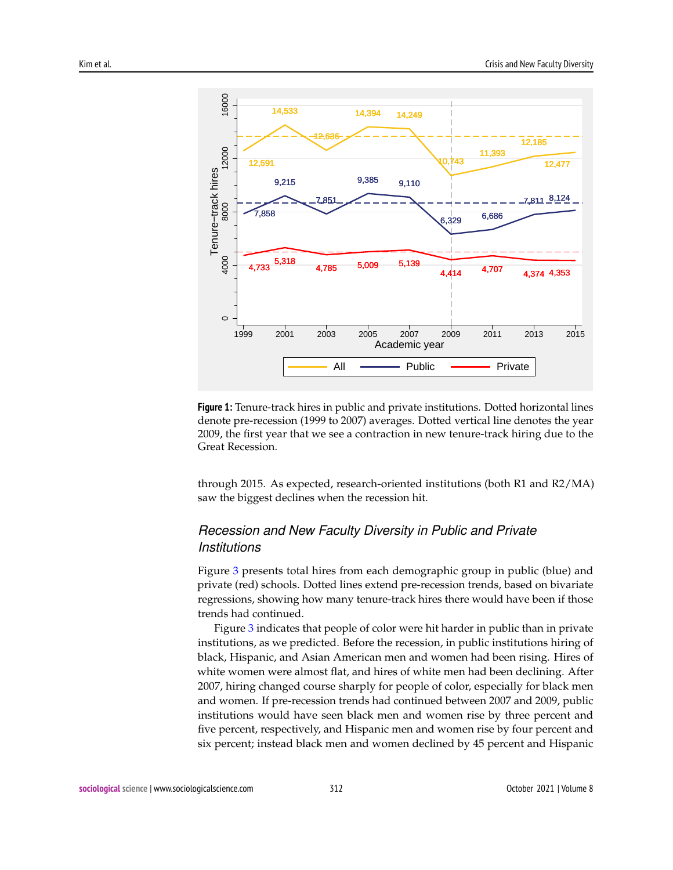<span id="page-4-0"></span>

**Figure 1:** Tenure-track hires in public and private institutions. Dotted horizontal lines denote pre-recession (1999 to 2007) averages. Dotted vertical line denotes the year 2009, the first year that we see a contraction in new tenure-track hiring due to the Great Recession.

through 2015. As expected, research-oriented institutions (both R1 and R2/MA) saw the biggest declines when the recession hit.

# *Recession and New Faculty Diversity in Public and Private Institutions*

Figure [3](#page-6-0) presents total hires from each demographic group in public (blue) and private (red) schools. Dotted lines extend pre-recession trends, based on bivariate regressions, showing how many tenure-track hires there would have been if those trends had continued.

Figure [3](#page-6-0) indicates that people of color were hit harder in public than in private institutions, as we predicted. Before the recession, in public institutions hiring of black, Hispanic, and Asian American men and women had been rising. Hires of white women were almost flat, and hires of white men had been declining. After 2007, hiring changed course sharply for people of color, especially for black men and women. If pre-recession trends had continued between 2007 and 2009, public institutions would have seen black men and women rise by three percent and five percent, respectively, and Hispanic men and women rise by four percent and six percent; instead black men and women declined by 45 percent and Hispanic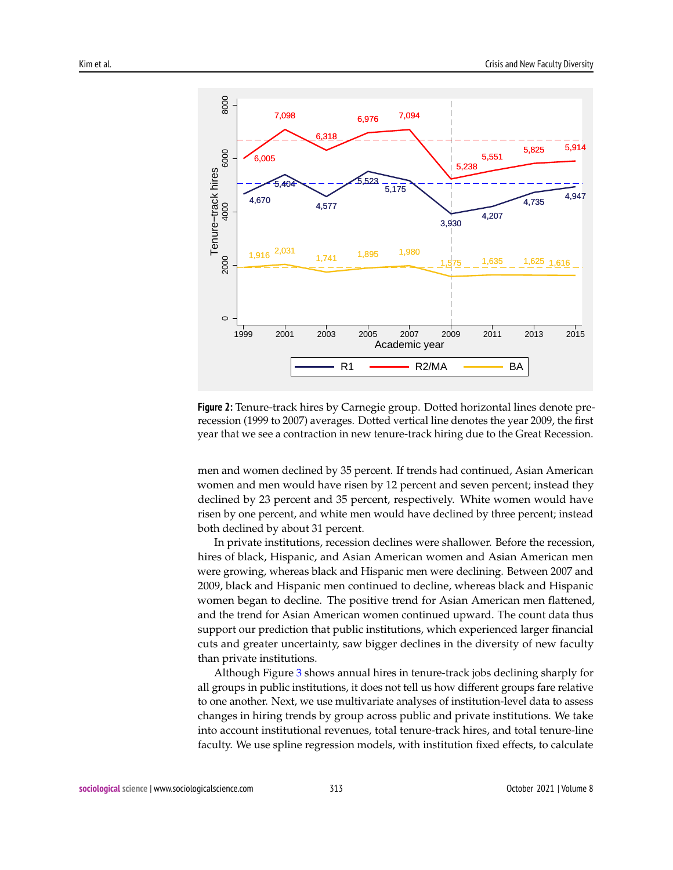<span id="page-5-0"></span>

**Figure 2:** Tenure-track hires by Carnegie group. Dotted horizontal lines denote prerecession (1999 to 2007) averages. Dotted vertical line denotes the year 2009, the first year that we see a contraction in new tenure-track hiring due to the Great Recession.

men and women declined by 35 percent. If trends had continued, Asian American women and men would have risen by 12 percent and seven percent; instead they declined by 23 percent and 35 percent, respectively. White women would have risen by one percent, and white men would have declined by three percent; instead both declined by about 31 percent.

In private institutions, recession declines were shallower. Before the recession, hires of black, Hispanic, and Asian American women and Asian American men were growing, whereas black and Hispanic men were declining. Between 2007 and 2009, black and Hispanic men continued to decline, whereas black and Hispanic women began to decline. The positive trend for Asian American men flattened, and the trend for Asian American women continued upward. The count data thus support our prediction that public institutions, which experienced larger financial cuts and greater uncertainty, saw bigger declines in the diversity of new faculty than private institutions.

Although Figure [3](#page-6-0) shows annual hires in tenure-track jobs declining sharply for all groups in public institutions, it does not tell us how different groups fare relative to one another. Next, we use multivariate analyses of institution-level data to assess changes in hiring trends by group across public and private institutions. We take into account institutional revenues, total tenure-track hires, and total tenure-line faculty. We use spline regression models, with institution fixed effects, to calculate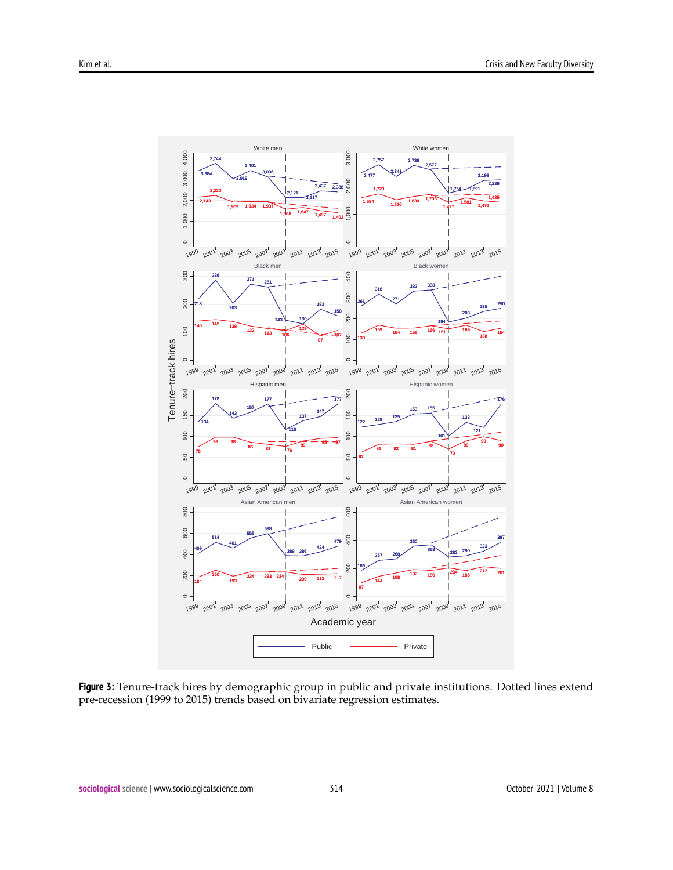<span id="page-6-0"></span>

**Figure 3:** Tenure-track hires by demographic group in public and private institutions. Dotted lines extend pre-recession (1999 to 2015) trends based on bivariate regression estimates.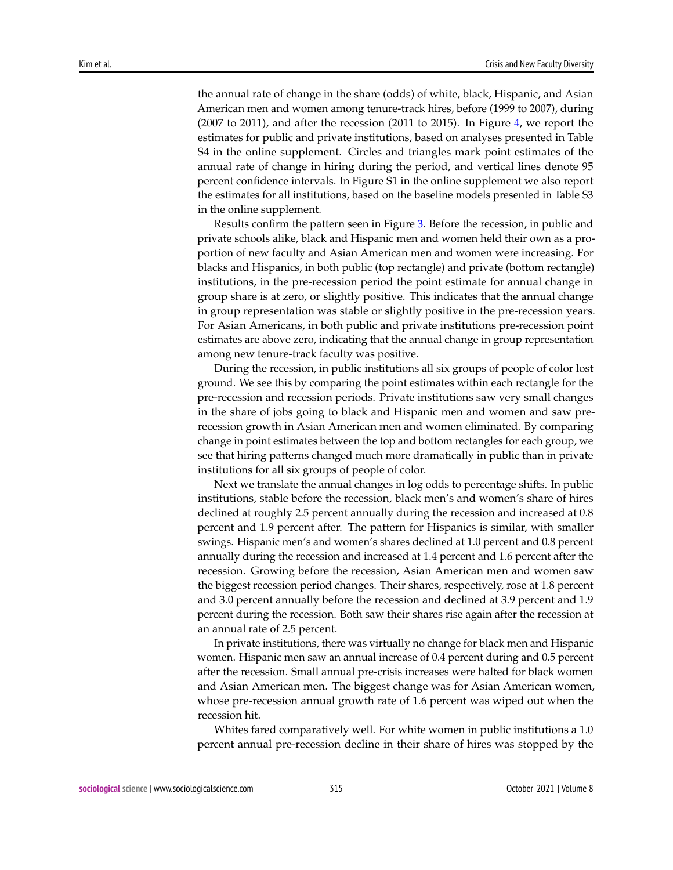the annual rate of change in the share (odds) of white, black, Hispanic, and Asian American men and women among tenure-track hires, before (1999 to 2007), during (2007 to 2011), and after the recession (2011 to 2015). In Figure [4,](#page-8-0) we report the estimates for public and private institutions, based on analyses presented in Table S4 in the online supplement. Circles and triangles mark point estimates of the annual rate of change in hiring during the period, and vertical lines denote 95 percent confidence intervals. In Figure S1 in the online supplement we also report the estimates for all institutions, based on the baseline models presented in Table S3 in the online supplement.

Results confirm the pattern seen in Figure [3.](#page-6-0) Before the recession, in public and private schools alike, black and Hispanic men and women held their own as a proportion of new faculty and Asian American men and women were increasing. For blacks and Hispanics, in both public (top rectangle) and private (bottom rectangle) institutions, in the pre-recession period the point estimate for annual change in group share is at zero, or slightly positive. This indicates that the annual change in group representation was stable or slightly positive in the pre-recession years. For Asian Americans, in both public and private institutions pre-recession point estimates are above zero, indicating that the annual change in group representation among new tenure-track faculty was positive.

During the recession, in public institutions all six groups of people of color lost ground. We see this by comparing the point estimates within each rectangle for the pre-recession and recession periods. Private institutions saw very small changes in the share of jobs going to black and Hispanic men and women and saw prerecession growth in Asian American men and women eliminated. By comparing change in point estimates between the top and bottom rectangles for each group, we see that hiring patterns changed much more dramatically in public than in private institutions for all six groups of people of color.

Next we translate the annual changes in log odds to percentage shifts. In public institutions, stable before the recession, black men's and women's share of hires declined at roughly 2.5 percent annually during the recession and increased at 0.8 percent and 1.9 percent after. The pattern for Hispanics is similar, with smaller swings. Hispanic men's and women's shares declined at 1.0 percent and 0.8 percent annually during the recession and increased at 1.4 percent and 1.6 percent after the recession. Growing before the recession, Asian American men and women saw the biggest recession period changes. Their shares, respectively, rose at 1.8 percent and 3.0 percent annually before the recession and declined at 3.9 percent and 1.9 percent during the recession. Both saw their shares rise again after the recession at an annual rate of 2.5 percent.

In private institutions, there was virtually no change for black men and Hispanic women. Hispanic men saw an annual increase of 0.4 percent during and 0.5 percent after the recession. Small annual pre-crisis increases were halted for black women and Asian American men. The biggest change was for Asian American women, whose pre-recession annual growth rate of 1.6 percent was wiped out when the recession hit.

Whites fared comparatively well. For white women in public institutions a 1.0 percent annual pre-recession decline in their share of hires was stopped by the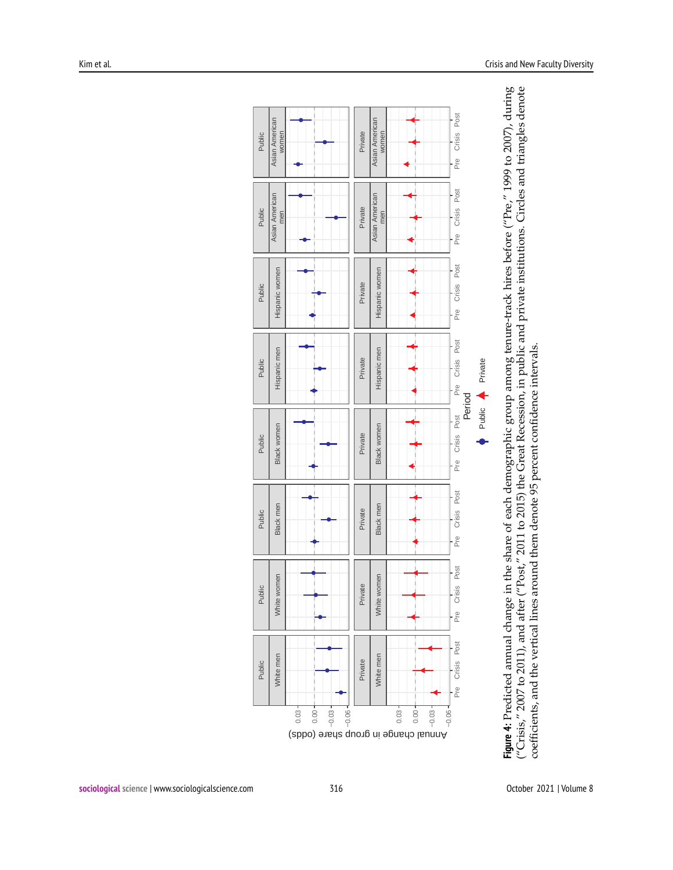<span id="page-8-0"></span>

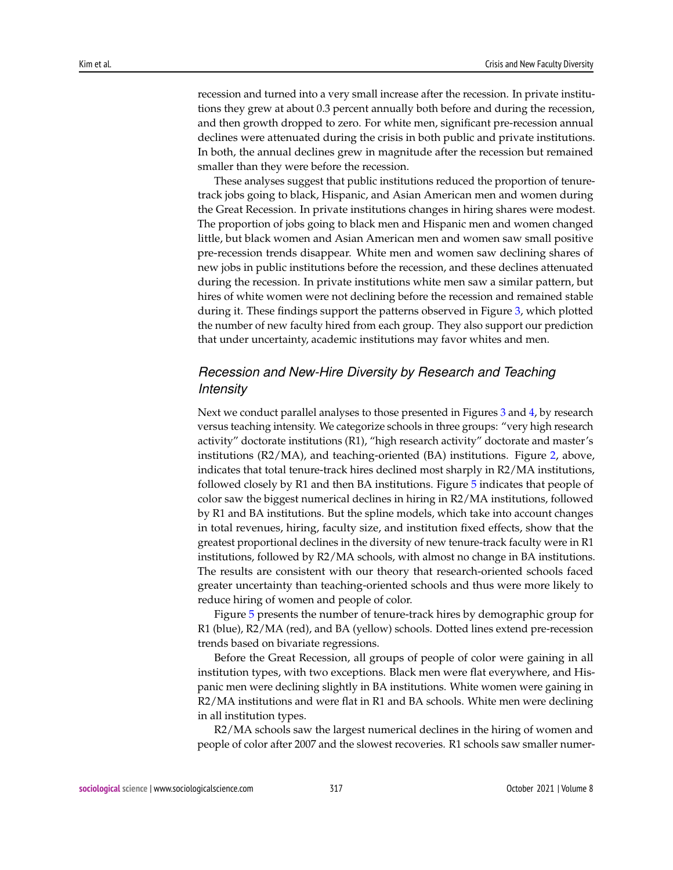recession and turned into a very small increase after the recession. In private institutions they grew at about 0.3 percent annually both before and during the recession, and then growth dropped to zero. For white men, significant pre-recession annual declines were attenuated during the crisis in both public and private institutions. In both, the annual declines grew in magnitude after the recession but remained smaller than they were before the recession.

These analyses suggest that public institutions reduced the proportion of tenuretrack jobs going to black, Hispanic, and Asian American men and women during the Great Recession. In private institutions changes in hiring shares were modest. The proportion of jobs going to black men and Hispanic men and women changed little, but black women and Asian American men and women saw small positive pre-recession trends disappear. White men and women saw declining shares of new jobs in public institutions before the recession, and these declines attenuated during the recession. In private institutions white men saw a similar pattern, but hires of white women were not declining before the recession and remained stable during it. These findings support the patterns observed in Figure [3,](#page-6-0) which plotted the number of new faculty hired from each group. They also support our prediction that under uncertainty, academic institutions may favor whites and men.

# *Recession and New-Hire Diversity by Research and Teaching Intensity*

Next we conduct parallel analyses to those presented in Figures [3](#page-6-0) and [4,](#page-8-0) by research versus teaching intensity. We categorize schools in three groups: "very high research activity" doctorate institutions (R1), "high research activity" doctorate and master's institutions (R2/MA), and teaching-oriented (BA) institutions. Figure [2,](#page-5-0) above, indicates that total tenure-track hires declined most sharply in R2/MA institutions, followed closely by R1 and then BA institutions. Figure [5](#page-10-0) indicates that people of color saw the biggest numerical declines in hiring in R2/MA institutions, followed by R1 and BA institutions. But the spline models, which take into account changes in total revenues, hiring, faculty size, and institution fixed effects, show that the greatest proportional declines in the diversity of new tenure-track faculty were in R1 institutions, followed by R2/MA schools, with almost no change in BA institutions. The results are consistent with our theory that research-oriented schools faced greater uncertainty than teaching-oriented schools and thus were more likely to reduce hiring of women and people of color.

Figure [5](#page-10-0) presents the number of tenure-track hires by demographic group for R1 (blue), R2/MA (red), and BA (yellow) schools. Dotted lines extend pre-recession trends based on bivariate regressions.

Before the Great Recession, all groups of people of color were gaining in all institution types, with two exceptions. Black men were flat everywhere, and Hispanic men were declining slightly in BA institutions. White women were gaining in R2/MA institutions and were flat in R1 and BA schools. White men were declining in all institution types.

R2/MA schools saw the largest numerical declines in the hiring of women and people of color after 2007 and the slowest recoveries. R1 schools saw smaller numer-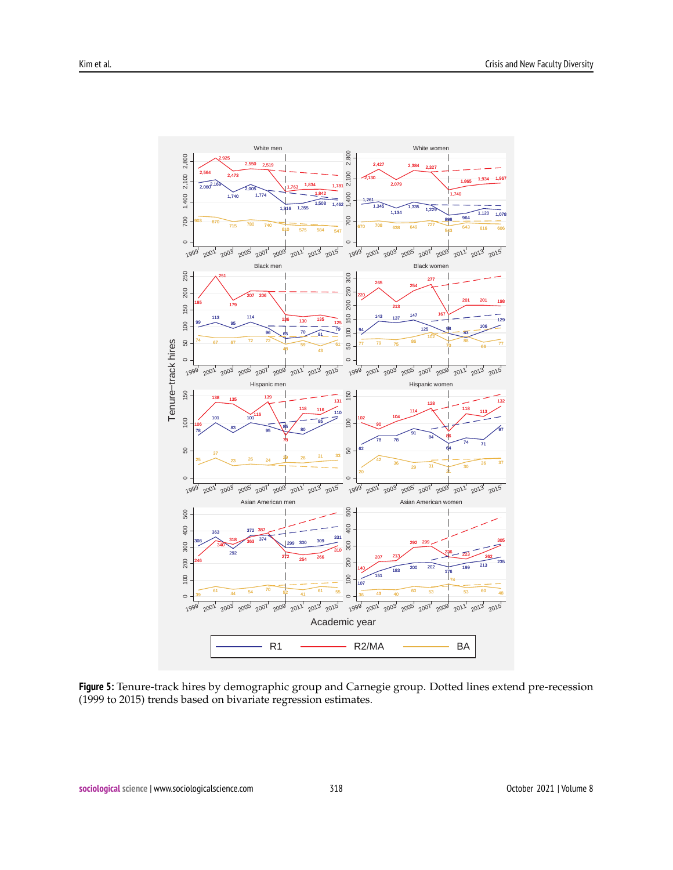<span id="page-10-0"></span>

**Figure 5:** Tenure-track hires by demographic group and Carnegie group. Dotted lines extend pre-recession (1999 to 2015) trends based on bivariate regression estimates.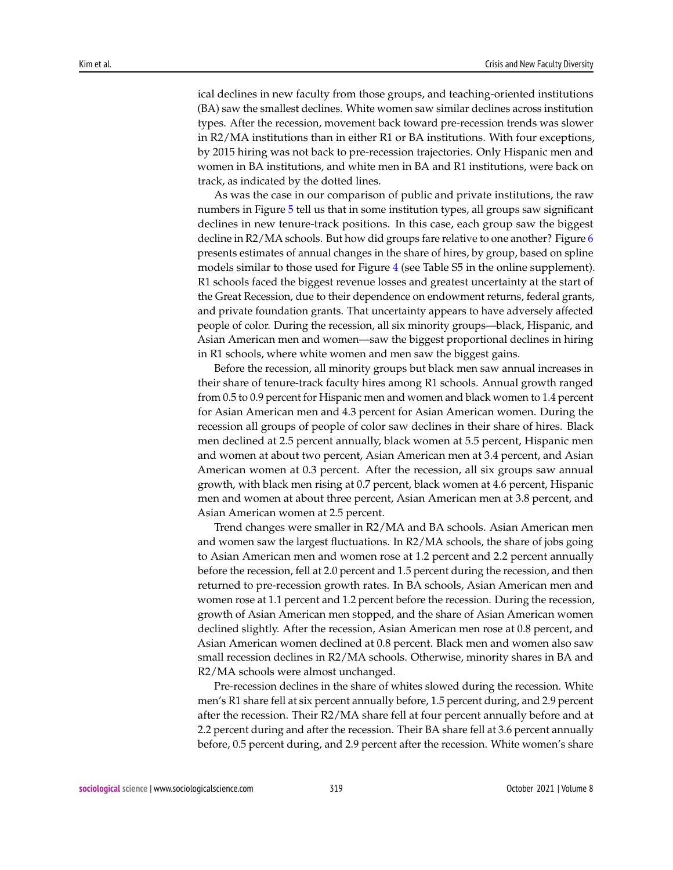ical declines in new faculty from those groups, and teaching-oriented institutions (BA) saw the smallest declines. White women saw similar declines across institution types. After the recession, movement back toward pre-recession trends was slower in R2/MA institutions than in either R1 or BA institutions. With four exceptions, by 2015 hiring was not back to pre-recession trajectories. Only Hispanic men and women in BA institutions, and white men in BA and R1 institutions, were back on track, as indicated by the dotted lines.

As was the case in our comparison of public and private institutions, the raw numbers in Figure [5](#page-10-0) tell us that in some institution types, all groups saw significant declines in new tenure-track positions. In this case, each group saw the biggest decline in R2/MA schools. But how did groups fare relative to one another? Figure [6](#page-12-0) presents estimates of annual changes in the share of hires, by group, based on spline models similar to those used for Figure [4](#page-8-0) (see Table S5 in the online supplement). R1 schools faced the biggest revenue losses and greatest uncertainty at the start of the Great Recession, due to their dependence on endowment returns, federal grants, and private foundation grants. That uncertainty appears to have adversely affected people of color. During the recession, all six minority groups—black, Hispanic, and Asian American men and women—saw the biggest proportional declines in hiring in R1 schools, where white women and men saw the biggest gains.

Before the recession, all minority groups but black men saw annual increases in their share of tenure-track faculty hires among R1 schools. Annual growth ranged from 0.5 to 0.9 percent for Hispanic men and women and black women to 1.4 percent for Asian American men and 4.3 percent for Asian American women. During the recession all groups of people of color saw declines in their share of hires. Black men declined at 2.5 percent annually, black women at 5.5 percent, Hispanic men and women at about two percent, Asian American men at 3.4 percent, and Asian American women at 0.3 percent. After the recession, all six groups saw annual growth, with black men rising at 0.7 percent, black women at 4.6 percent, Hispanic men and women at about three percent, Asian American men at 3.8 percent, and Asian American women at 2.5 percent.

Trend changes were smaller in R2/MA and BA schools. Asian American men and women saw the largest fluctuations. In R2/MA schools, the share of jobs going to Asian American men and women rose at 1.2 percent and 2.2 percent annually before the recession, fell at 2.0 percent and 1.5 percent during the recession, and then returned to pre-recession growth rates. In BA schools, Asian American men and women rose at 1.1 percent and 1.2 percent before the recession. During the recession, growth of Asian American men stopped, and the share of Asian American women declined slightly. After the recession, Asian American men rose at 0.8 percent, and Asian American women declined at 0.8 percent. Black men and women also saw small recession declines in R2/MA schools. Otherwise, minority shares in BA and R2/MA schools were almost unchanged.

Pre-recession declines in the share of whites slowed during the recession. White men's R1 share fell at six percent annually before, 1.5 percent during, and 2.9 percent after the recession. Their R2/MA share fell at four percent annually before and at 2.2 percent during and after the recession. Their BA share fell at 3.6 percent annually before, 0.5 percent during, and 2.9 percent after the recession. White women's share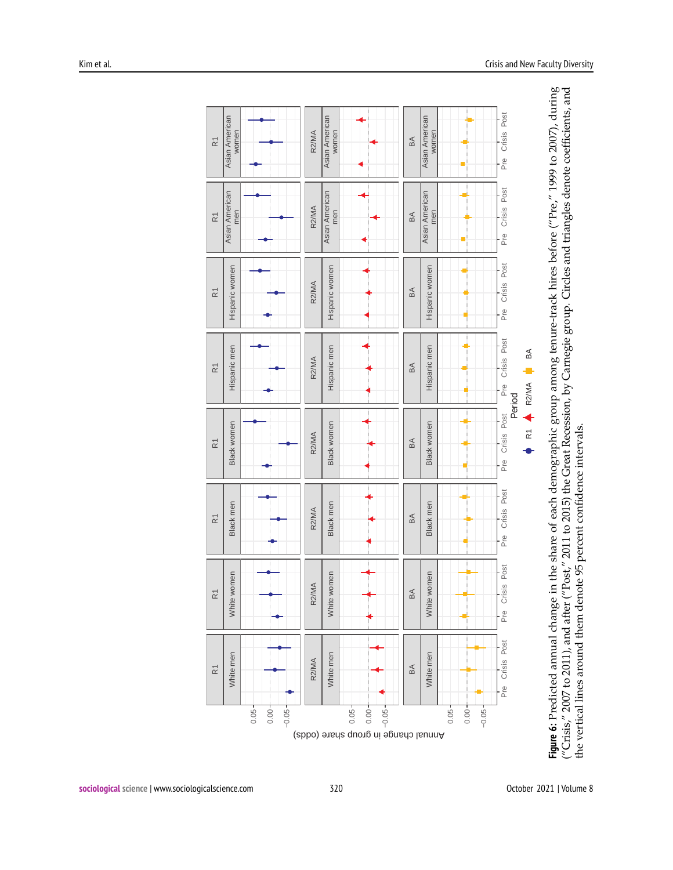<span id="page-12-0"></span>

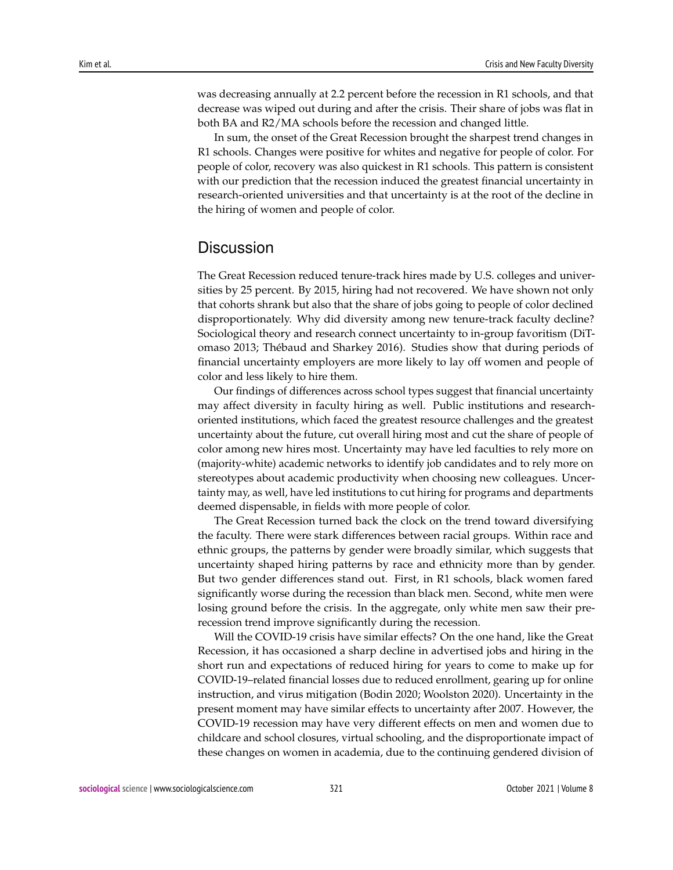was decreasing annually at 2.2 percent before the recession in R1 schools, and that decrease was wiped out during and after the crisis. Their share of jobs was flat in both BA and R2/MA schools before the recession and changed little.

In sum, the onset of the Great Recession brought the sharpest trend changes in R1 schools. Changes were positive for whites and negative for people of color. For people of color, recovery was also quickest in R1 schools. This pattern is consistent with our prediction that the recession induced the greatest financial uncertainty in research-oriented universities and that uncertainty is at the root of the decline in the hiring of women and people of color.

## **Discussion**

The Great Recession reduced tenure-track hires made by U.S. colleges and universities by 25 percent. By 2015, hiring had not recovered. We have shown not only that cohorts shrank but also that the share of jobs going to people of color declined disproportionately. Why did diversity among new tenure-track faculty decline? Sociological theory and research connect uncertainty to in-group favoritism (DiTomaso 2013; Thébaud and Sharkey 2016). Studies show that during periods of financial uncertainty employers are more likely to lay off women and people of color and less likely to hire them.

Our findings of differences across school types suggest that financial uncertainty may affect diversity in faculty hiring as well. Public institutions and researchoriented institutions, which faced the greatest resource challenges and the greatest uncertainty about the future, cut overall hiring most and cut the share of people of color among new hires most. Uncertainty may have led faculties to rely more on (majority-white) academic networks to identify job candidates and to rely more on stereotypes about academic productivity when choosing new colleagues. Uncertainty may, as well, have led institutions to cut hiring for programs and departments deemed dispensable, in fields with more people of color.

The Great Recession turned back the clock on the trend toward diversifying the faculty. There were stark differences between racial groups. Within race and ethnic groups, the patterns by gender were broadly similar, which suggests that uncertainty shaped hiring patterns by race and ethnicity more than by gender. But two gender differences stand out. First, in R1 schools, black women fared significantly worse during the recession than black men. Second, white men were losing ground before the crisis. In the aggregate, only white men saw their prerecession trend improve significantly during the recession.

Will the COVID-19 crisis have similar effects? On the one hand, like the Great Recession, it has occasioned a sharp decline in advertised jobs and hiring in the short run and expectations of reduced hiring for years to come to make up for COVID-19–related financial losses due to reduced enrollment, gearing up for online instruction, and virus mitigation (Bodin 2020; Woolston 2020). Uncertainty in the present moment may have similar effects to uncertainty after 2007. However, the COVID-19 recession may have very different effects on men and women due to childcare and school closures, virtual schooling, and the disproportionate impact of these changes on women in academia, due to the continuing gendered division of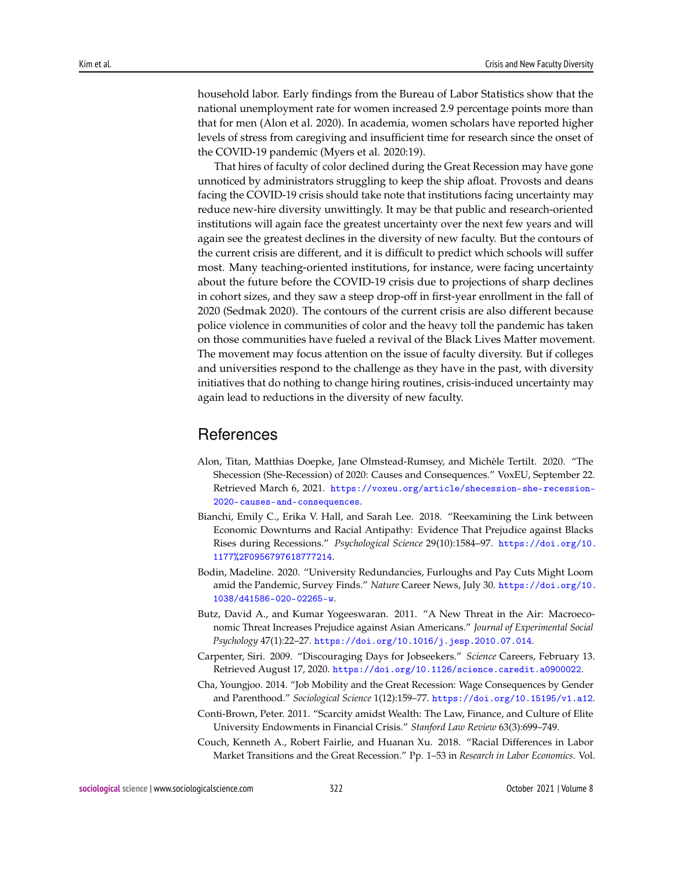household labor. Early findings from the Bureau of Labor Statistics show that the national unemployment rate for women increased 2.9 percentage points more than that for men (Alon et al. 2020). In academia, women scholars have reported higher levels of stress from caregiving and insufficient time for research since the onset of the COVID-19 pandemic (Myers et al. 2020:19).

That hires of faculty of color declined during the Great Recession may have gone unnoticed by administrators struggling to keep the ship afloat. Provosts and deans facing the COVID-19 crisis should take note that institutions facing uncertainty may reduce new-hire diversity unwittingly. It may be that public and research-oriented institutions will again face the greatest uncertainty over the next few years and will again see the greatest declines in the diversity of new faculty. But the contours of the current crisis are different, and it is difficult to predict which schools will suffer most. Many teaching-oriented institutions, for instance, were facing uncertainty about the future before the COVID-19 crisis due to projections of sharp declines in cohort sizes, and they saw a steep drop-off in first-year enrollment in the fall of 2020 (Sedmak 2020). The contours of the current crisis are also different because police violence in communities of color and the heavy toll the pandemic has taken on those communities have fueled a revival of the Black Lives Matter movement. The movement may focus attention on the issue of faculty diversity. But if colleges and universities respond to the challenge as they have in the past, with diversity initiatives that do nothing to change hiring routines, crisis-induced uncertainty may again lead to reductions in the diversity of new faculty.

# References

- Alon, Titan, Matthias Doepke, Jane Olmstead-Rumsey, and Michèle Tertilt. 2020. "The Shecession (She-Recession) of 2020: Causes and Consequences." VoxEU, September 22. Retrieved March 6, 2021. [https://voxeu.org/article/shecession-she-recession-](https://voxeu.org/article/shecession-she-recession-2020-causes-and-consequences)[2020-causes-and-consequences](https://voxeu.org/article/shecession-she-recession-2020-causes-and-consequences).
- Bianchi, Emily C., Erika V. Hall, and Sarah Lee. 2018. "Reexamining the Link between Economic Downturns and Racial Antipathy: Evidence That Prejudice against Blacks Rises during Recessions." *Psychological Science* 29(10):1584–97. [https://doi.org/10.](https://doi.org/10.1177%2F0956797618777214) [1177%2F0956797618777214](https://doi.org/10.1177%2F0956797618777214).
- Bodin, Madeline. 2020. "University Redundancies, Furloughs and Pay Cuts Might Loom amid the Pandemic, Survey Finds." *Nature* Career News, July 30. [https://doi.org/10.](https://doi.org/10.1038/d41586-020-02265-w) [1038/d41586-020-02265-w](https://doi.org/10.1038/d41586-020-02265-w).
- Butz, David A., and Kumar Yogeeswaran. 2011. "A New Threat in the Air: Macroeconomic Threat Increases Prejudice against Asian Americans." *Journal of Experimental Social Psychology* 47(1):22–27. <https://doi.org/10.1016/j.jesp.2010.07.014>.
- Carpenter, Siri. 2009. "Discouraging Days for Jobseekers." *Science* Careers, February 13. Retrieved August 17, 2020. <https://doi.org/10.1126/science.caredit.a0900022>.
- Cha, Youngjoo. 2014. "Job Mobility and the Great Recession: Wage Consequences by Gender and Parenthood." *Sociological Science* 1(12):159–77. <https://doi.org/10.15195/v1.a12>.
- Conti-Brown, Peter. 2011. "Scarcity amidst Wealth: The Law, Finance, and Culture of Elite University Endowments in Financial Crisis." *Stanford Law Review* 63(3):699–749.
- Couch, Kenneth A., Robert Fairlie, and Huanan Xu. 2018. "Racial Differences in Labor Market Transitions and the Great Recession." Pp. 1–53 in *Research in Labor Economics*. Vol.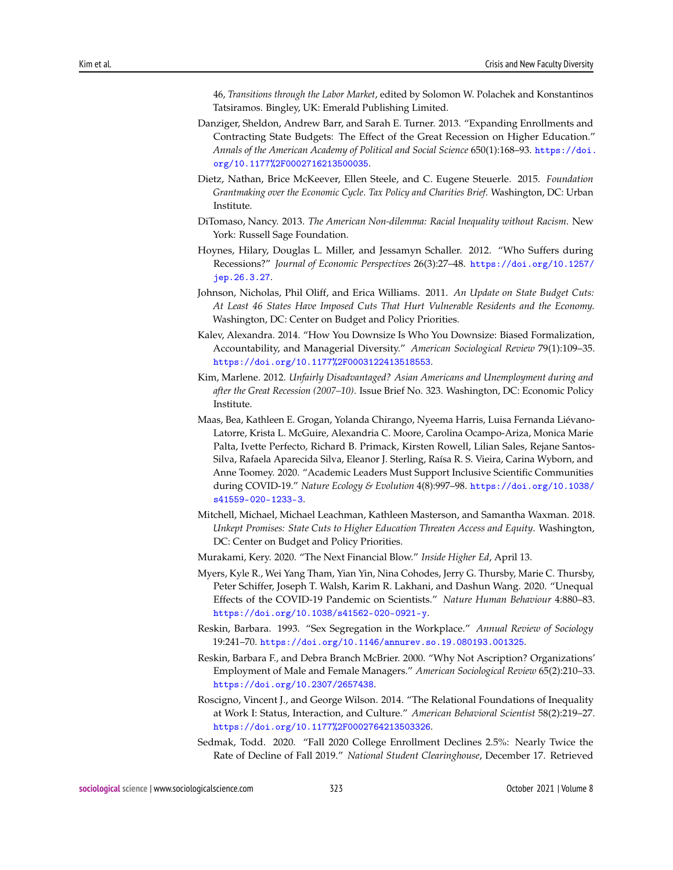46, *Transitions through the Labor Market*, edited by Solomon W. Polachek and Konstantinos Tatsiramos. Bingley, UK: Emerald Publishing Limited.

- Danziger, Sheldon, Andrew Barr, and Sarah E. Turner. 2013. "Expanding Enrollments and Contracting State Budgets: The Effect of the Great Recession on Higher Education." *Annals of the American Academy of Political and Social Science* 650(1):168–93. [https://doi.](https://doi.org/10.1177%2F0002716213500035) [org/10.1177%2F0002716213500035](https://doi.org/10.1177%2F0002716213500035).
- Dietz, Nathan, Brice McKeever, Ellen Steele, and C. Eugene Steuerle. 2015. *Foundation Grantmaking over the Economic Cycle*. *Tax Policy and Charities Brief*. Washington, DC: Urban Institute.
- DiTomaso, Nancy. 2013. *The American Non-dilemma: Racial Inequality without Racism*. New York: Russell Sage Foundation.
- Hoynes, Hilary, Douglas L. Miller, and Jessamyn Schaller. 2012. "Who Suffers during Recessions?" *Journal of Economic Perspectives* 26(3):27–48. [https://doi.org/10.1257/](https://doi.org/10.1257/jep.26.3.27) [jep.26.3.27](https://doi.org/10.1257/jep.26.3.27).
- Johnson, Nicholas, Phil Oliff, and Erica Williams. 2011. *An Update on State Budget Cuts: At Least 46 States Have Imposed Cuts That Hurt Vulnerable Residents and the Economy.* Washington, DC: Center on Budget and Policy Priorities.
- Kalev, Alexandra. 2014. "How You Downsize Is Who You Downsize: Biased Formalization, Accountability, and Managerial Diversity." *American Sociological Review* 79(1):109–35. <https://doi.org/10.1177%2F0003122413518553>.
- Kim, Marlene. 2012. *Unfairly Disadvantaged? Asian Americans and Unemployment during and after the Great Recession (2007–10)*. Issue Brief No. 323. Washington, DC: Economic Policy Institute.
- Maas, Bea, Kathleen E. Grogan, Yolanda Chirango, Nyeema Harris, Luisa Fernanda Liévano-Latorre, Krista L. McGuire, Alexandria C. Moore, Carolina Ocampo-Ariza, Monica Marie Palta, Ivette Perfecto, Richard B. Primack, Kirsten Rowell, Lilian Sales, Rejane Santos-Silva, Rafaela Aparecida Silva, Eleanor J. Sterling, Raísa R. S. Vieira, Carina Wyborn, and Anne Toomey. 2020. "Academic Leaders Must Support Inclusive Scientific Communities during COVID-19." *Nature Ecology & Evolution* 4(8):997–98. [https://doi.org/10.1038/](https://doi.org/10.1038/s41559-020-1233-3) [s41559-020-1233-3](https://doi.org/10.1038/s41559-020-1233-3).
- Mitchell, Michael, Michael Leachman, Kathleen Masterson, and Samantha Waxman. 2018. *Unkept Promises: State Cuts to Higher Education Threaten Access and Equity*. Washington, DC: Center on Budget and Policy Priorities.
- Murakami, Kery. 2020. "The Next Financial Blow." *Inside Higher Ed*, April 13.
- Myers, Kyle R., Wei Yang Tham, Yian Yin, Nina Cohodes, Jerry G. Thursby, Marie C. Thursby, Peter Schiffer, Joseph T. Walsh, Karim R. Lakhani, and Dashun Wang. 2020. "Unequal Effects of the COVID-19 Pandemic on Scientists." *Nature Human Behaviour* 4:880–83. <https://doi.org/10.1038/s41562-020-0921-y>.
- Reskin, Barbara. 1993. "Sex Segregation in the Workplace." *Annual Review of Sociology* 19:241–70. <https://doi.org/10.1146/annurev.so.19.080193.001325>.
- Reskin, Barbara F., and Debra Branch McBrier. 2000. "Why Not Ascription? Organizations' Employment of Male and Female Managers." *American Sociological Review* 65(2):210–33. <https://doi.org/10.2307/2657438>.
- Roscigno, Vincent J., and George Wilson. 2014. "The Relational Foundations of Inequality at Work I: Status, Interaction, and Culture." *American Behavioral Scientist* 58(2):219–27. <https://doi.org/10.1177%2F0002764213503326>.
- Sedmak, Todd. 2020. "Fall 2020 College Enrollment Declines 2.5%: Nearly Twice the Rate of Decline of Fall 2019." *National Student Clearinghouse*, December 17. Retrieved